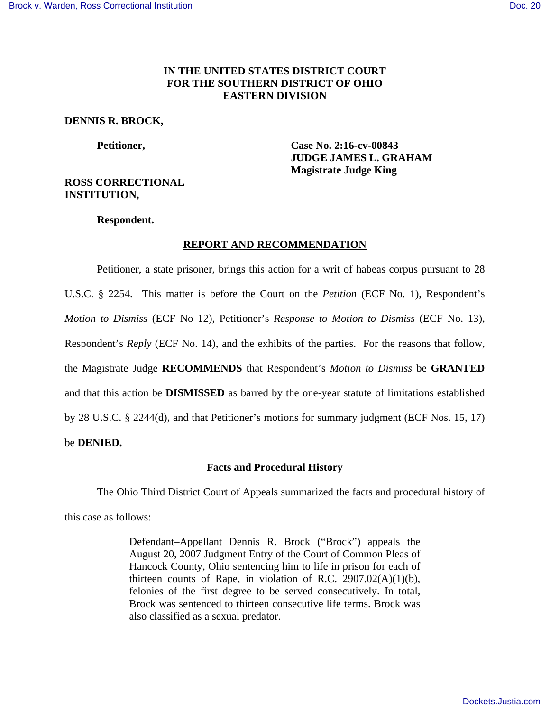## **IN THE UNITED STATES DISTRICT COURT FOR THE SOUTHERN DISTRICT OF OHIO EASTERN DIVISION**

### **DENNIS R. BROCK,**

 **Petitioner, Case No. 2:16-cv-00843 JUDGE JAMES L. GRAHAM Magistrate Judge King** 

# **ROSS CORRECTIONAL INSTITUTION,**

 **Respondent.** 

## **REPORT AND RECOMMENDATION**

 Petitioner, a state prisoner, brings this action for a writ of habeas corpus pursuant to 28 U.S.C. § 2254. This matter is before the Court on the *Petition* (ECF No. 1), Respondent's *Motion to Dismiss* (ECF No 12), Petitioner's *Response to Motion to Dismiss* (ECF No. 13), Respondent's *Reply* (ECF No. 14), and the exhibits of the parties. For the reasons that follow, the Magistrate Judge **RECOMMENDS** that Respondent's *Motion to Dismiss* be **GRANTED** and that this action be **DISMISSED** as barred by the one-year statute of limitations established by 28 U.S.C. § 2244(d), and that Petitioner's motions for summary judgment (ECF Nos. 15, 17) be **DENIED.**

## **Facts and Procedural History**

 The Ohio Third District Court of Appeals summarized the facts and procedural history of this case as follows:

> Defendant–Appellant Dennis R. Brock ("Brock") appeals the August 20, 2007 Judgment Entry of the Court of Common Pleas of Hancock County, Ohio sentencing him to life in prison for each of thirteen counts of Rape, in violation of R.C.  $2907.02(A)(1)(b)$ , felonies of the first degree to be served consecutively. In total, Brock was sentenced to thirteen consecutive life terms. Brock was also classified as a sexual predator.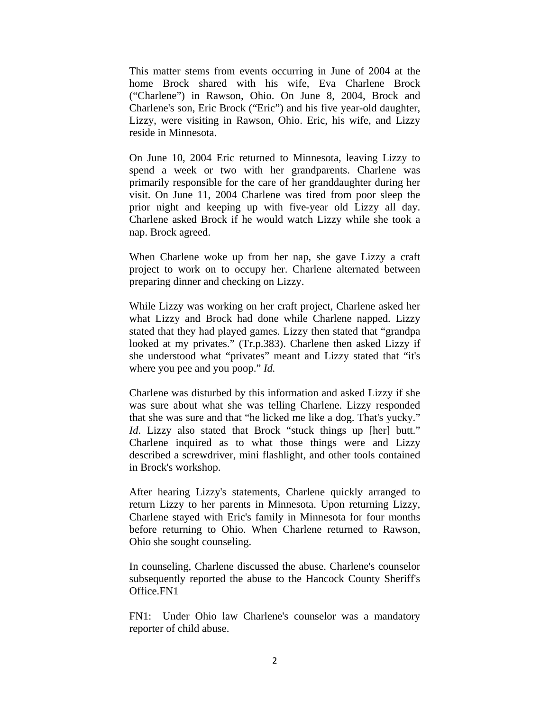This matter stems from events occurring in June of 2004 at the home Brock shared with his wife, Eva Charlene Brock ("Charlene") in Rawson, Ohio. On June 8, 2004, Brock and Charlene's son, Eric Brock ("Eric") and his five year-old daughter, Lizzy, were visiting in Rawson, Ohio. Eric, his wife, and Lizzy reside in Minnesota.

On June 10, 2004 Eric returned to Minnesota, leaving Lizzy to spend a week or two with her grandparents. Charlene was primarily responsible for the care of her granddaughter during her visit. On June 11, 2004 Charlene was tired from poor sleep the prior night and keeping up with five-year old Lizzy all day. Charlene asked Brock if he would watch Lizzy while she took a nap. Brock agreed.

When Charlene woke up from her nap, she gave Lizzy a craft project to work on to occupy her. Charlene alternated between preparing dinner and checking on Lizzy.

While Lizzy was working on her craft project, Charlene asked her what Lizzy and Brock had done while Charlene napped. Lizzy stated that they had played games. Lizzy then stated that "grandpa looked at my privates." (Tr.p.383). Charlene then asked Lizzy if she understood what "privates" meant and Lizzy stated that "it's where you pee and you poop." *Id.* 

Charlene was disturbed by this information and asked Lizzy if she was sure about what she was telling Charlene. Lizzy responded that she was sure and that "he licked me like a dog. That's yucky." *Id.* Lizzy also stated that Brock "stuck things up [her] butt." Charlene inquired as to what those things were and Lizzy described a screwdriver, mini flashlight, and other tools contained in Brock's workshop.

After hearing Lizzy's statements, Charlene quickly arranged to return Lizzy to her parents in Minnesota. Upon returning Lizzy, Charlene stayed with Eric's family in Minnesota for four months before returning to Ohio. When Charlene returned to Rawson, Ohio she sought counseling.

In counseling, Charlene discussed the abuse. Charlene's counselor subsequently reported the abuse to the Hancock County Sheriff's Office.FN1

FN1: Under Ohio law Charlene's counselor was a mandatory reporter of child abuse.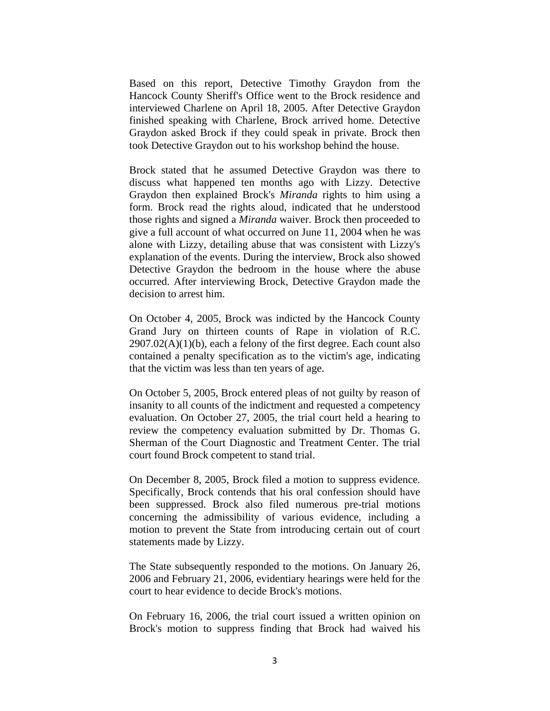Based on this report, Detective Timothy Graydon from the Hancock County Sheriff's Office went to the Brock residence and interviewed Charlene on April 18, 2005. After Detective Graydon finished speaking with Charlene, Brock arrived home. Detective Graydon asked Brock if they could speak in private. Brock then took Detective Graydon out to his workshop behind the house.

Brock stated that he assumed Detective Graydon was there to discuss what happened ten months ago with Lizzy. Detective Graydon then explained Brock's *Miranda* rights to him using a form. Brock read the rights aloud, indicated that he understood those rights and signed a *Miranda* waiver. Brock then proceeded to give a full account of what occurred on June 11, 2004 when he was alone with Lizzy, detailing abuse that was consistent with Lizzy's explanation of the events. During the interview, Brock also showed Detective Graydon the bedroom in the house where the abuse occurred. After interviewing Brock, Detective Graydon made the decision to arrest him.

On October 4, 2005, Brock was indicted by the Hancock County Grand Jury on thirteen counts of Rape in violation of R.C.  $2907.02(A)(1)(b)$ , each a felony of the first degree. Each count also contained a penalty specification as to the victim's age, indicating that the victim was less than ten years of age.

On October 5, 2005, Brock entered pleas of not guilty by reason of insanity to all counts of the indictment and requested a competency evaluation. On October 27, 2005, the trial court held a hearing to review the competency evaluation submitted by Dr. Thomas G. Sherman of the Court Diagnostic and Treatment Center. The trial court found Brock competent to stand trial.

On December 8, 2005, Brock filed a motion to suppress evidence. Specifically, Brock contends that his oral confession should have been suppressed. Brock also filed numerous pre-trial motions concerning the admissibility of various evidence, including a motion to prevent the State from introducing certain out of court statements made by Lizzy.

The State subsequently responded to the motions. On January 26, 2006 and February 21, 2006, evidentiary hearings were held for the court to hear evidence to decide Brock's motions.

On February 16, 2006, the trial court issued a written opinion on Brock's motion to suppress finding that Brock had waived his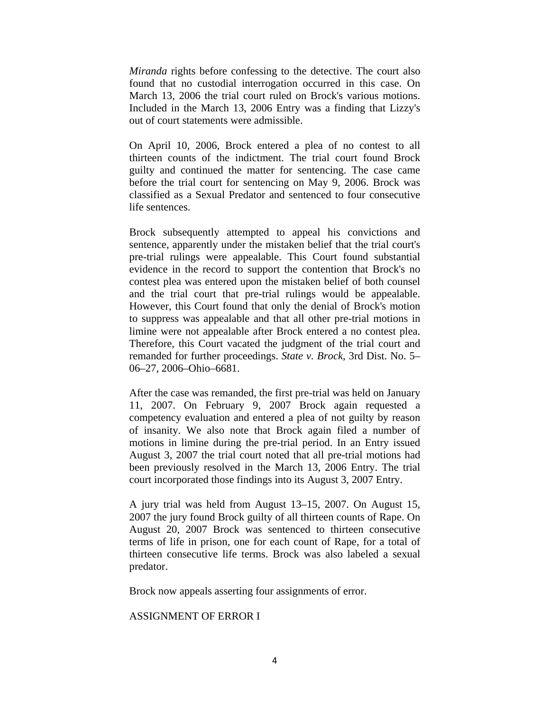*Miranda* rights before confessing to the detective. The court also found that no custodial interrogation occurred in this case. On March 13, 2006 the trial court ruled on Brock's various motions. Included in the March 13, 2006 Entry was a finding that Lizzy's out of court statements were admissible.

On April 10, 2006, Brock entered a plea of no contest to all thirteen counts of the indictment. The trial court found Brock guilty and continued the matter for sentencing. The case came before the trial court for sentencing on May 9, 2006. Brock was classified as a Sexual Predator and sentenced to four consecutive life sentences.

Brock subsequently attempted to appeal his convictions and sentence, apparently under the mistaken belief that the trial court's pre-trial rulings were appealable. This Court found substantial evidence in the record to support the contention that Brock's no contest plea was entered upon the mistaken belief of both counsel and the trial court that pre-trial rulings would be appealable. However, this Court found that only the denial of Brock's motion to suppress was appealable and that all other pre-trial motions in limine were not appealable after Brock entered a no contest plea. Therefore, this Court vacated the judgment of the trial court and remanded for further proceedings. *State v. Brock*, 3rd Dist. No. 5– 06–27, 2006–Ohio–6681.

After the case was remanded, the first pre-trial was held on January 11, 2007. On February 9, 2007 Brock again requested a competency evaluation and entered a plea of not guilty by reason of insanity. We also note that Brock again filed a number of motions in limine during the pre-trial period. In an Entry issued August 3, 2007 the trial court noted that all pre-trial motions had been previously resolved in the March 13, 2006 Entry. The trial court incorporated those findings into its August 3, 2007 Entry.

A jury trial was held from August 13–15, 2007. On August 15, 2007 the jury found Brock guilty of all thirteen counts of Rape. On August 20, 2007 Brock was sentenced to thirteen consecutive terms of life in prison, one for each count of Rape, for a total of thirteen consecutive life terms. Brock was also labeled a sexual predator.

Brock now appeals asserting four assignments of error.

### ASSIGNMENT OF ERROR I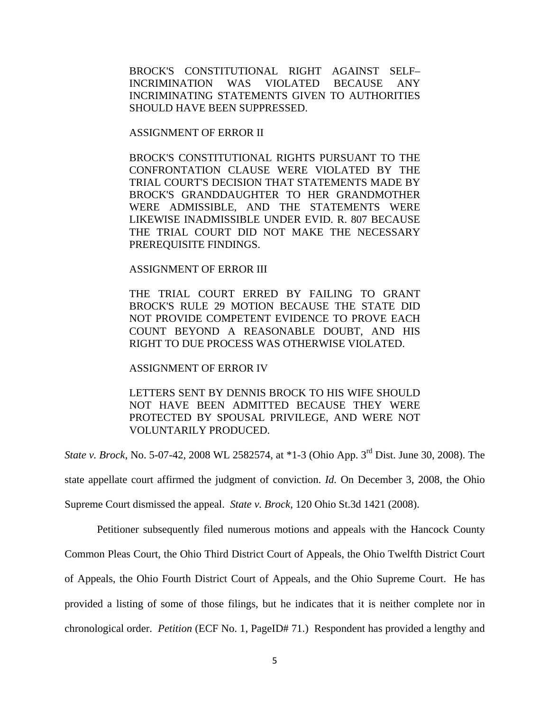BROCK'S CONSTITUTIONAL RIGHT AGAINST SELF– INCRIMINATION WAS VIOLATED BECAUSE ANY INCRIMINATING STATEMENTS GIVEN TO AUTHORITIES SHOULD HAVE BEEN SUPPRESSED.

ASSIGNMENT OF ERROR II

BROCK'S CONSTITUTIONAL RIGHTS PURSUANT TO THE CONFRONTATION CLAUSE WERE VIOLATED BY THE TRIAL COURT'S DECISION THAT STATEMENTS MADE BY BROCK'S GRANDDAUGHTER TO HER GRANDMOTHER WERE ADMISSIBLE, AND THE STATEMENTS WERE LIKEWISE INADMISSIBLE UNDER EVID. R. 807 BECAUSE THE TRIAL COURT DID NOT MAKE THE NECESSARY PREREQUISITE FINDINGS.

#### ASSIGNMENT OF ERROR III

THE TRIAL COURT ERRED BY FAILING TO GRANT BROCK'S RULE 29 MOTION BECAUSE THE STATE DID NOT PROVIDE COMPETENT EVIDENCE TO PROVE EACH COUNT BEYOND A REASONABLE DOUBT, AND HIS RIGHT TO DUE PROCESS WAS OTHERWISE VIOLATED.

### ASSIGNMENT OF ERROR IV

## LETTERS SENT BY DENNIS BROCK TO HIS WIFE SHOULD NOT HAVE BEEN ADMITTED BECAUSE THEY WERE PROTECTED BY SPOUSAL PRIVILEGE, AND WERE NOT VOLUNTARILY PRODUCED.

*State v. Brock*, No. 5-07-42, 2008 WL 2582574, at \*1-3 (Ohio App. 3<sup>rd</sup> Dist. June 30, 2008). The

state appellate court affirmed the judgment of conviction. *Id.* On December 3, 2008, the Ohio

Supreme Court dismissed the appeal. *State v. Brock*, 120 Ohio St.3d 1421 (2008).

Petitioner subsequently filed numerous motions and appeals with the Hancock County

Common Pleas Court, the Ohio Third District Court of Appeals, the Ohio Twelfth District Court

of Appeals, the Ohio Fourth District Court of Appeals, and the Ohio Supreme Court. He has

provided a listing of some of those filings, but he indicates that it is neither complete nor in

chronological order. *Petition* (ECF No. 1, PageID# 71.) Respondent has provided a lengthy and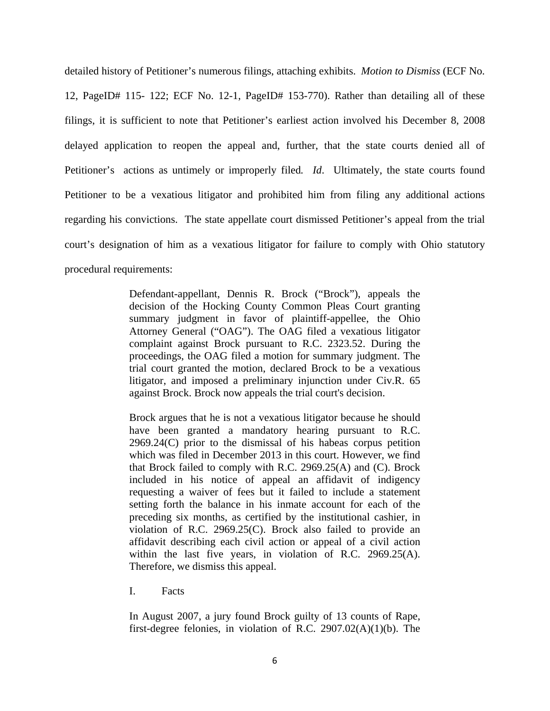detailed history of Petitioner's numerous filings, attaching exhibits. *Motion to Dismiss* (ECF No. 12, PageID# 115- 122; ECF No. 12-1, PageID# 153-770). Rather than detailing all of these filings, it is sufficient to note that Petitioner's earliest action involved his December 8, 2008 delayed application to reopen the appeal and, further, that the state courts denied all of Petitioner's actions as untimely or improperly filed*. Id*. Ultimately, the state courts found Petitioner to be a vexatious litigator and prohibited him from filing any additional actions regarding his convictions. The state appellate court dismissed Petitioner's appeal from the trial court's designation of him as a vexatious litigator for failure to comply with Ohio statutory procedural requirements:

> Defendant-appellant, Dennis R. Brock ("Brock"), appeals the decision of the Hocking County Common Pleas Court granting summary judgment in favor of plaintiff-appellee, the Ohio Attorney General ("OAG"). The OAG filed a vexatious litigator complaint against Brock pursuant to R.C. 2323.52. During the proceedings, the OAG filed a motion for summary judgment. The trial court granted the motion, declared Brock to be a vexatious litigator, and imposed a preliminary injunction under Civ.R. 65 against Brock. Brock now appeals the trial court's decision.

> Brock argues that he is not a vexatious litigator because he should have been granted a mandatory hearing pursuant to R.C. 2969.24(C) prior to the dismissal of his habeas corpus petition which was filed in December 2013 in this court. However, we find that Brock failed to comply with R.C. 2969.25(A) and (C). Brock included in his notice of appeal an affidavit of indigency requesting a waiver of fees but it failed to include a statement setting forth the balance in his inmate account for each of the preceding six months, as certified by the institutional cashier, in violation of R.C. 2969.25(C). Brock also failed to provide an affidavit describing each civil action or appeal of a civil action within the last five years, in violation of R.C. 2969.25(A). Therefore, we dismiss this appeal.

I. Facts

In August 2007, a jury found Brock guilty of 13 counts of Rape, first-degree felonies, in violation of R.C. 2907.02(A)(1)(b). The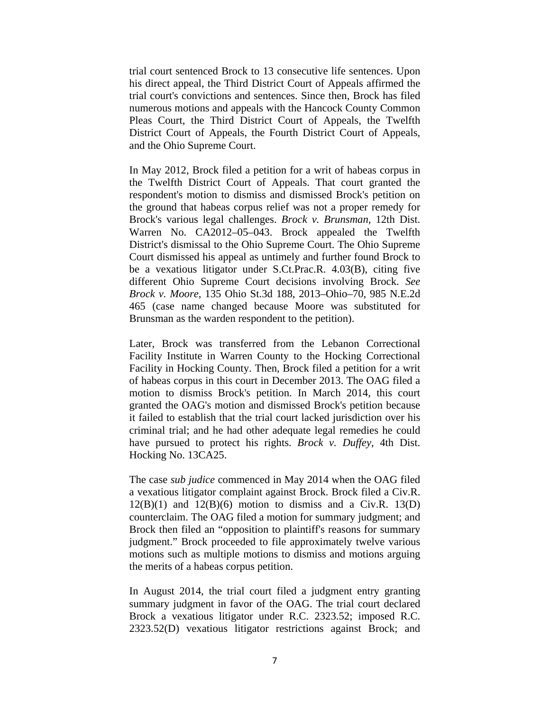trial court sentenced Brock to 13 consecutive life sentences. Upon his direct appeal, the Third District Court of Appeals affirmed the trial court's convictions and sentences. Since then, Brock has filed numerous motions and appeals with the Hancock County Common Pleas Court, the Third District Court of Appeals, the Twelfth District Court of Appeals, the Fourth District Court of Appeals, and the Ohio Supreme Court.

In May 2012, Brock filed a petition for a writ of habeas corpus in the Twelfth District Court of Appeals. That court granted the respondent's motion to dismiss and dismissed Brock's petition on the ground that habeas corpus relief was not a proper remedy for Brock's various legal challenges. *Brock v. Brunsman,* 12th Dist. Warren No. CA2012–05–043. Brock appealed the Twelfth District's dismissal to the Ohio Supreme Court. The Ohio Supreme Court dismissed his appeal as untimely and further found Brock to be a vexatious litigator under S.Ct.Prac.R. 4.03(B), citing five different Ohio Supreme Court decisions involving Brock. *See Brock v. Moore*, 135 Ohio St.3d 188, 2013–Ohio–70, 985 N.E.2d 465 (case name changed because Moore was substituted for Brunsman as the warden respondent to the petition).

Later, Brock was transferred from the Lebanon Correctional Facility Institute in Warren County to the Hocking Correctional Facility in Hocking County. Then, Brock filed a petition for a writ of habeas corpus in this court in December 2013. The OAG filed a motion to dismiss Brock's petition. In March 2014, this court granted the OAG's motion and dismissed Brock's petition because it failed to establish that the trial court lacked jurisdiction over his criminal trial; and he had other adequate legal remedies he could have pursued to protect his rights. *Brock v. Duffey*, 4th Dist. Hocking No. 13CA25.

The case *sub judice* commenced in May 2014 when the OAG filed a vexatious litigator complaint against Brock. Brock filed a Civ.R.  $12(B)(1)$  and  $12(B)(6)$  motion to dismiss and a Civ.R. 13(D) counterclaim. The OAG filed a motion for summary judgment; and Brock then filed an "opposition to plaintiff's reasons for summary judgment." Brock proceeded to file approximately twelve various motions such as multiple motions to dismiss and motions arguing the merits of a habeas corpus petition.

In August 2014, the trial court filed a judgment entry granting summary judgment in favor of the OAG. The trial court declared Brock a vexatious litigator under R.C. 2323.52; imposed R.C. 2323.52(D) vexatious litigator restrictions against Brock; and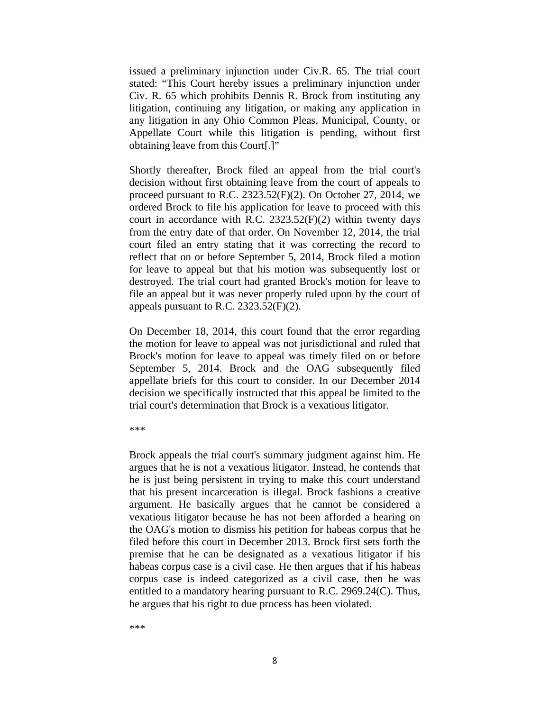issued a preliminary injunction under Civ.R. 65. The trial court stated: "This Court hereby issues a preliminary injunction under Civ. R. 65 which prohibits Dennis R. Brock from instituting any litigation, continuing any litigation, or making any application in any litigation in any Ohio Common Pleas, Municipal, County, or Appellate Court while this litigation is pending, without first obtaining leave from this Court[.]"

Shortly thereafter, Brock filed an appeal from the trial court's decision without first obtaining leave from the court of appeals to proceed pursuant to R.C. 2323.52(F)(2). On October 27, 2014, we ordered Brock to file his application for leave to proceed with this court in accordance with R.C.  $2323.52(F)(2)$  within twenty days from the entry date of that order. On November 12, 2014, the trial court filed an entry stating that it was correcting the record to reflect that on or before September 5, 2014, Brock filed a motion for leave to appeal but that his motion was subsequently lost or destroyed. The trial court had granted Brock's motion for leave to file an appeal but it was never properly ruled upon by the court of appeals pursuant to R.C. 2323.52(F)(2).

On December 18, 2014, this court found that the error regarding the motion for leave to appeal was not jurisdictional and ruled that Brock's motion for leave to appeal was timely filed on or before September 5, 2014. Brock and the OAG subsequently filed appellate briefs for this court to consider. In our December 2014 decision we specifically instructed that this appeal be limited to the trial court's determination that Brock is a vexatious litigator.

\*\*\*

Brock appeals the trial court's summary judgment against him. He argues that he is not a vexatious litigator. Instead, he contends that he is just being persistent in trying to make this court understand that his present incarceration is illegal. Brock fashions a creative argument. He basically argues that he cannot be considered a vexatious litigator because he has not been afforded a hearing on the OAG's motion to dismiss his petition for habeas corpus that he filed before this court in December 2013. Brock first sets forth the premise that he can be designated as a vexatious litigator if his habeas corpus case is a civil case. He then argues that if his habeas corpus case is indeed categorized as a civil case, then he was entitled to a mandatory hearing pursuant to R.C. 2969.24(C). Thus, he argues that his right to due process has been violated.

\*\*\*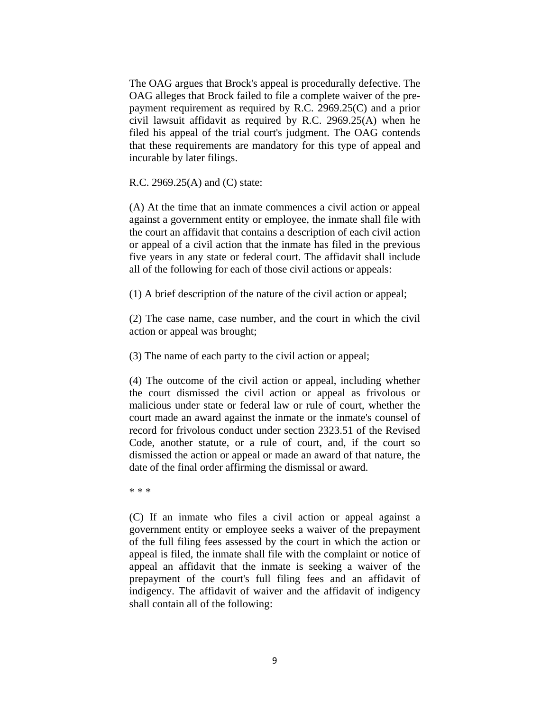The OAG argues that Brock's appeal is procedurally defective. The OAG alleges that Brock failed to file a complete waiver of the prepayment requirement as required by R.C. 2969.25(C) and a prior civil lawsuit affidavit as required by R.C. 2969.25(A) when he filed his appeal of the trial court's judgment. The OAG contends that these requirements are mandatory for this type of appeal and incurable by later filings.

R.C. 2969.25(A) and (C) state:

(A) At the time that an inmate commences a civil action or appeal against a government entity or employee, the inmate shall file with the court an affidavit that contains a description of each civil action or appeal of a civil action that the inmate has filed in the previous five years in any state or federal court. The affidavit shall include all of the following for each of those civil actions or appeals:

(1) A brief description of the nature of the civil action or appeal;

(2) The case name, case number, and the court in which the civil action or appeal was brought;

(3) The name of each party to the civil action or appeal;

(4) The outcome of the civil action or appeal, including whether the court dismissed the civil action or appeal as frivolous or malicious under state or federal law or rule of court, whether the court made an award against the inmate or the inmate's counsel of record for frivolous conduct under section 2323.51 of the Revised Code, another statute, or a rule of court, and, if the court so dismissed the action or appeal or made an award of that nature, the date of the final order affirming the dismissal or award.

\* \* \*

(C) If an inmate who files a civil action or appeal against a government entity or employee seeks a waiver of the prepayment of the full filing fees assessed by the court in which the action or appeal is filed, the inmate shall file with the complaint or notice of appeal an affidavit that the inmate is seeking a waiver of the prepayment of the court's full filing fees and an affidavit of indigency. The affidavit of waiver and the affidavit of indigency shall contain all of the following: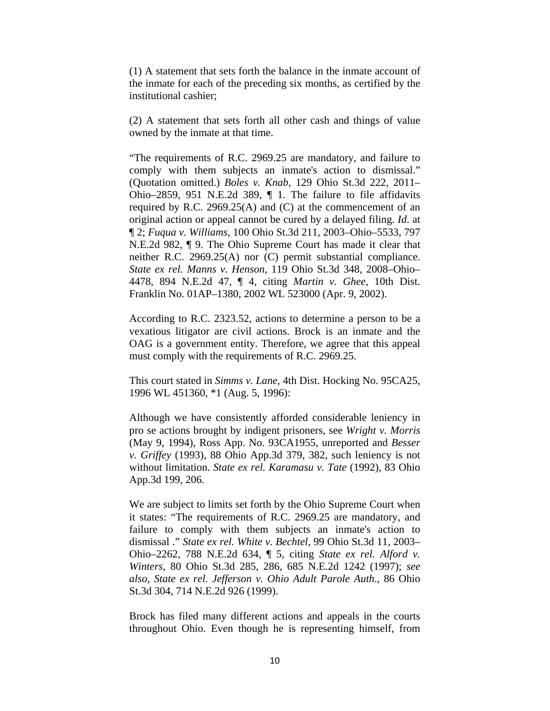(1) A statement that sets forth the balance in the inmate account of the inmate for each of the preceding six months, as certified by the institutional cashier;

(2) A statement that sets forth all other cash and things of value owned by the inmate at that time.

"The requirements of R.C. 2969.25 are mandatory, and failure to comply with them subjects an inmate's action to dismissal." (Quotation omitted.) *Boles v. Knab*, 129 Ohio St.3d 222, 2011– Ohio–2859, 951 N.E.2d 389, ¶ 1. The failure to file affidavits required by R.C. 2969.25(A) and (C) at the commencement of an original action or appeal cannot be cured by a delayed filing. *Id*. at ¶ 2; *Fuqua v. Williams*, 100 Ohio St.3d 211, 2003–Ohio–5533, 797 N.E.2d 982, ¶ 9. The Ohio Supreme Court has made it clear that neither R.C. 2969.25(A) nor (C) permit substantial compliance. *State ex rel. Manns v. Henson*, 119 Ohio St.3d 348, 2008–Ohio– 4478, 894 N.E.2d 47, ¶ 4, citing *Martin v. Ghee,* 10th Dist. Franklin No. 01AP–1380, 2002 WL 523000 (Apr. 9, 2002).

According to R.C. 2323.52, actions to determine a person to be a vexatious litigator are civil actions. Brock is an inmate and the OAG is a government entity. Therefore, we agree that this appeal must comply with the requirements of R.C. 2969.25.

This court stated in *Simms v. Lane*, 4th Dist. Hocking No. 95CA25, 1996 WL 451360, \*1 (Aug. 5, 1996):

Although we have consistently afforded considerable leniency in pro se actions brought by indigent prisoners, see *Wright v. Morris* (May 9, 1994), Ross App. No. 93CA1955, unreported and *Besser v. Griffey* (1993), 88 Ohio App.3d 379, 382, such leniency is not without limitation. *State ex rel. Karamasu v. Tate* (1992), 83 Ohio App.3d 199, 206.

We are subject to limits set forth by the Ohio Supreme Court when it states: "The requirements of R.C. 2969.25 are mandatory, and failure to comply with them subjects an inmate's action to dismissal ." *State ex rel. White v. Bechtel*, 99 Ohio St.3d 11, 2003– Ohio–2262, 788 N.E.2d 634, ¶ 5, citing *State ex rel. Alford v. Winters*, 80 Ohio St.3d 285, 286, 685 N.E.2d 1242 (1997); *see also, State ex rel. Jefferson v. Ohio Adult Parole Auth*., 86 Ohio St.3d 304, 714 N.E.2d 926 (1999).

Brock has filed many different actions and appeals in the courts throughout Ohio. Even though he is representing himself, from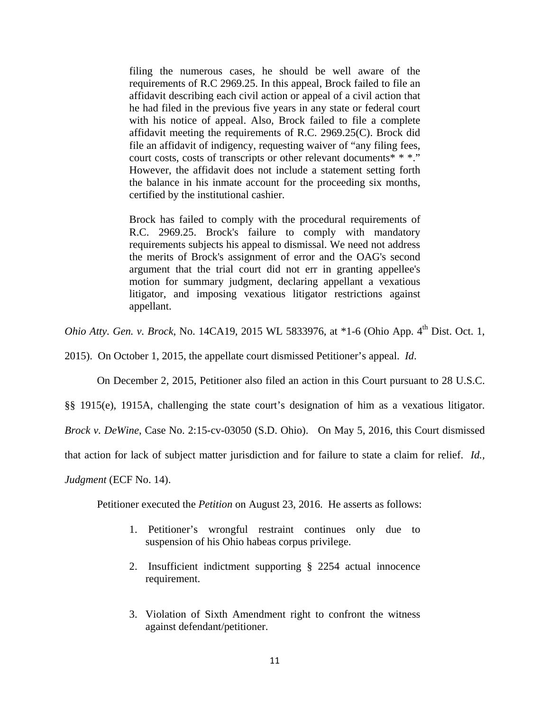filing the numerous cases, he should be well aware of the requirements of R.C 2969.25. In this appeal, Brock failed to file an affidavit describing each civil action or appeal of a civil action that he had filed in the previous five years in any state or federal court with his notice of appeal. Also, Brock failed to file a complete affidavit meeting the requirements of R.C. 2969.25(C). Brock did file an affidavit of indigency, requesting waiver of "any filing fees, court costs, costs of transcripts or other relevant documents\* \* \*." However, the affidavit does not include a statement setting forth the balance in his inmate account for the proceeding six months, certified by the institutional cashier.

Brock has failed to comply with the procedural requirements of R.C. 2969.25. Brock's failure to comply with mandatory requirements subjects his appeal to dismissal. We need not address the merits of Brock's assignment of error and the OAG's second argument that the trial court did not err in granting appellee's motion for summary judgment, declaring appellant a vexatious litigator, and imposing vexatious litigator restrictions against appellant.

*Ohio Atty. Gen. v. Brock*, No. 14CA19, 2015 WL 5833976, at \*1-6 (Ohio App. 4<sup>th</sup> Dist. Oct. 1,

2015). On October 1, 2015, the appellate court dismissed Petitioner's appeal. *Id*.

On December 2, 2015, Petitioner also filed an action in this Court pursuant to 28 U.S.C.

§§ 1915(e), 1915A, challenging the state court's designation of him as a vexatious litigator.

*Brock v. DeWine*, Case No. 2:15-cv-03050 (S.D. Ohio). On May 5, 2016, this Court dismissed

that action for lack of subject matter jurisdiction and for failure to state a claim for relief. *Id.,* 

*Judgment* (ECF No. 14).

Petitioner executed the *Petition* on August 23, 2016. He asserts as follows:

- 1. Petitioner's wrongful restraint continues only due to suspension of his Ohio habeas corpus privilege.
- 2. Insufficient indictment supporting § 2254 actual innocence requirement.
- 3. Violation of Sixth Amendment right to confront the witness against defendant/petitioner.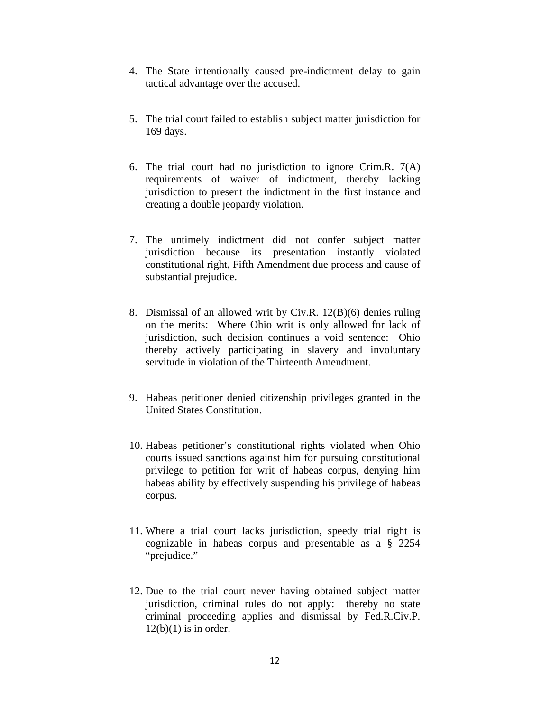- 4. The State intentionally caused pre-indictment delay to gain tactical advantage over the accused.
- 5. The trial court failed to establish subject matter jurisdiction for 169 days.
- 6. The trial court had no jurisdiction to ignore Crim.R. 7(A) requirements of waiver of indictment, thereby lacking jurisdiction to present the indictment in the first instance and creating a double jeopardy violation.
- 7. The untimely indictment did not confer subject matter jurisdiction because its presentation instantly violated constitutional right, Fifth Amendment due process and cause of substantial prejudice.
- 8. Dismissal of an allowed writ by Civ.R. 12(B)(6) denies ruling on the merits: Where Ohio writ is only allowed for lack of jurisdiction, such decision continues a void sentence: Ohio thereby actively participating in slavery and involuntary servitude in violation of the Thirteenth Amendment.
- 9. Habeas petitioner denied citizenship privileges granted in the United States Constitution.
- 10. Habeas petitioner's constitutional rights violated when Ohio courts issued sanctions against him for pursuing constitutional privilege to petition for writ of habeas corpus, denying him habeas ability by effectively suspending his privilege of habeas corpus.
- 11. Where a trial court lacks jurisdiction, speedy trial right is cognizable in habeas corpus and presentable as a § 2254 "prejudice."
- 12. Due to the trial court never having obtained subject matter jurisdiction, criminal rules do not apply: thereby no state criminal proceeding applies and dismissal by Fed.R.Civ.P.  $12(b)(1)$  is in order.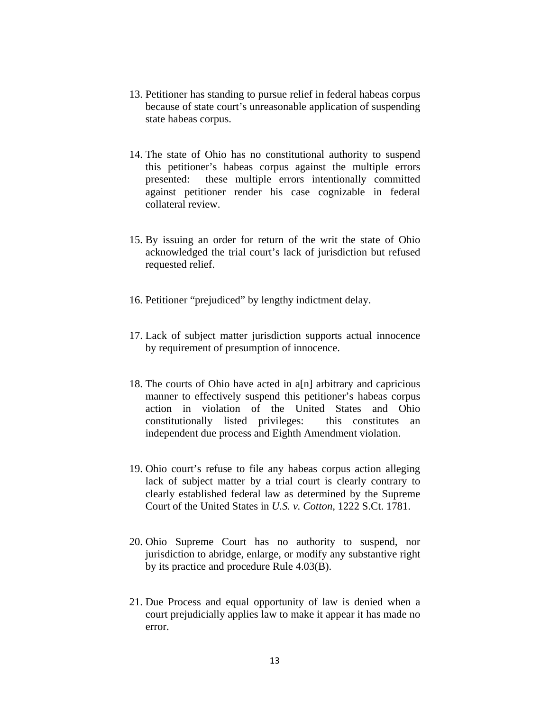- 13. Petitioner has standing to pursue relief in federal habeas corpus because of state court's unreasonable application of suspending state habeas corpus.
- 14. The state of Ohio has no constitutional authority to suspend this petitioner's habeas corpus against the multiple errors presented: these multiple errors intentionally committed against petitioner render his case cognizable in federal collateral review.
- 15. By issuing an order for return of the writ the state of Ohio acknowledged the trial court's lack of jurisdiction but refused requested relief.
- 16. Petitioner "prejudiced" by lengthy indictment delay.
- 17. Lack of subject matter jurisdiction supports actual innocence by requirement of presumption of innocence.
- 18. The courts of Ohio have acted in a[n] arbitrary and capricious manner to effectively suspend this petitioner's habeas corpus action in violation of the United States and Ohio constitutionally listed privileges: this constitutes an independent due process and Eighth Amendment violation.
- 19. Ohio court's refuse to file any habeas corpus action alleging lack of subject matter by a trial court is clearly contrary to clearly established federal law as determined by the Supreme Court of the United States in *U.S. v. Cotton*, 1222 S.Ct. 1781.
- 20. Ohio Supreme Court has no authority to suspend, nor jurisdiction to abridge, enlarge, or modify any substantive right by its practice and procedure Rule 4.03(B).
- 21. Due Process and equal opportunity of law is denied when a court prejudicially applies law to make it appear it has made no error.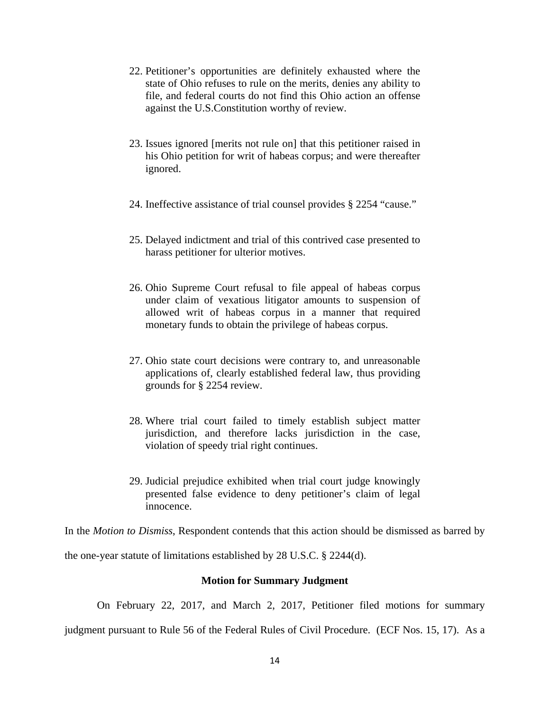- 22. Petitioner's opportunities are definitely exhausted where the state of Ohio refuses to rule on the merits, denies any ability to file, and federal courts do not find this Ohio action an offense against the U.S.Constitution worthy of review.
- 23. Issues ignored [merits not rule on] that this petitioner raised in his Ohio petition for writ of habeas corpus; and were thereafter ignored.
- 24. Ineffective assistance of trial counsel provides § 2254 "cause."
- 25. Delayed indictment and trial of this contrived case presented to harass petitioner for ulterior motives.
- 26. Ohio Supreme Court refusal to file appeal of habeas corpus under claim of vexatious litigator amounts to suspension of allowed writ of habeas corpus in a manner that required monetary funds to obtain the privilege of habeas corpus.
- 27. Ohio state court decisions were contrary to, and unreasonable applications of, clearly established federal law, thus providing grounds for § 2254 review.
- 28. Where trial court failed to timely establish subject matter jurisdiction, and therefore lacks jurisdiction in the case, violation of speedy trial right continues.
- 29. Judicial prejudice exhibited when trial court judge knowingly presented false evidence to deny petitioner's claim of legal innocence.

In the *Motion to Dismiss*, Respondent contends that this action should be dismissed as barred by

the one-year statute of limitations established by 28 U.S.C. § 2244(d).

#### **Motion for Summary Judgment**

On February 22, 2017, and March 2, 2017, Petitioner filed motions for summary

judgment pursuant to Rule 56 of the Federal Rules of Civil Procedure. (ECF Nos. 15, 17). As a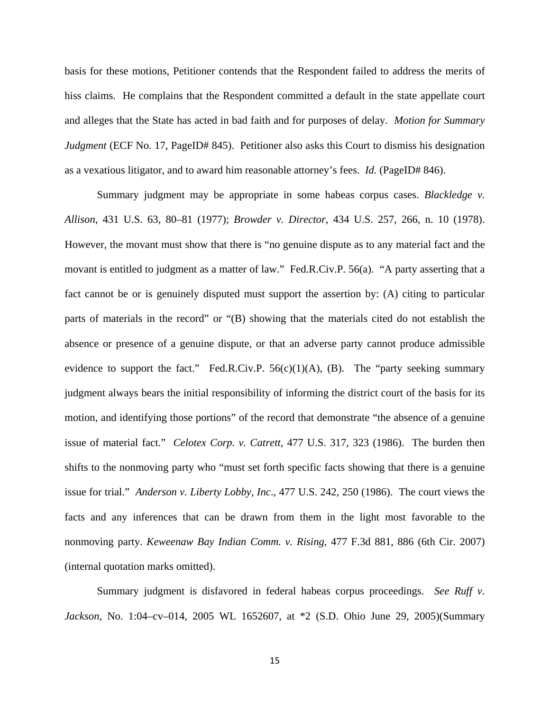basis for these motions, Petitioner contends that the Respondent failed to address the merits of hiss claims. He complains that the Respondent committed a default in the state appellate court and alleges that the State has acted in bad faith and for purposes of delay. *Motion for Summary Judgment* (ECF No. 17, PageID# 845). Petitioner also asks this Court to dismiss his designation as a vexatious litigator, and to award him reasonable attorney's fees. *Id.* (PageID# 846).

Summary judgment may be appropriate in some habeas corpus cases. *Blackledge v. Allison*, 431 U.S. 63, 80–81 (1977); *Browder v. Director*, 434 U.S. 257, 266, n. 10 (1978). However, the movant must show that there is "no genuine dispute as to any material fact and the movant is entitled to judgment as a matter of law." Fed.R.Civ.P. 56(a). "A party asserting that a fact cannot be or is genuinely disputed must support the assertion by: (A) citing to particular parts of materials in the record" or "(B) showing that the materials cited do not establish the absence or presence of a genuine dispute, or that an adverse party cannot produce admissible evidence to support the fact." Fed.R.Civ.P.  $56(c)(1)(A)$ , (B). The "party seeking summary judgment always bears the initial responsibility of informing the district court of the basis for its motion, and identifying those portions" of the record that demonstrate "the absence of a genuine issue of material fact." *Celotex Corp. v. Catrett*, 477 U.S. 317, 323 (1986). The burden then shifts to the nonmoving party who "must set forth specific facts showing that there is a genuine issue for trial." *Anderson v. Liberty Lobby, Inc*., 477 U.S. 242, 250 (1986). The court views the facts and any inferences that can be drawn from them in the light most favorable to the nonmoving party. *Keweenaw Bay Indian Comm. v. Rising*, 477 F.3d 881, 886 (6th Cir. 2007) (internal quotation marks omitted).

Summary judgment is disfavored in federal habeas corpus proceedings. *See Ruff v. Jackson*, No. 1:04–cv–014, 2005 WL 1652607, at \*2 (S.D. Ohio June 29, 2005)(Summary

15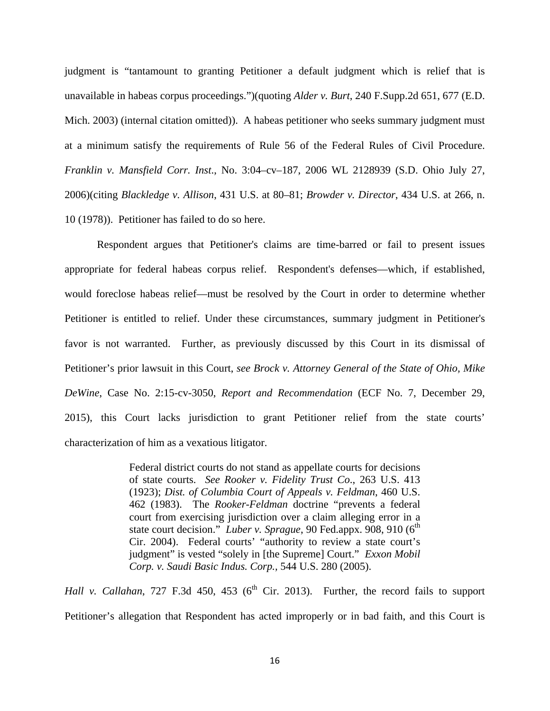judgment is "tantamount to granting Petitioner a default judgment which is relief that is unavailable in habeas corpus proceedings.")(quoting *Alder v. Burt*, 240 F.Supp.2d 651, 677 (E.D. Mich. 2003) (internal citation omitted)). A habeas petitioner who seeks summary judgment must at a minimum satisfy the requirements of Rule 56 of the Federal Rules of Civil Procedure. *Franklin v. Mansfield Corr. Inst*., No. 3:04–cv–187, 2006 WL 2128939 (S.D. Ohio July 27, 2006)(citing *Blackledge v. Allison*, 431 U.S. at 80–81; *Browder v. Director*, 434 U.S. at 266, n. 10 (1978)). Petitioner has failed to do so here.

Respondent argues that Petitioner's claims are time-barred or fail to present issues appropriate for federal habeas corpus relief. Respondent's defenses—which, if established, would foreclose habeas relief—must be resolved by the Court in order to determine whether Petitioner is entitled to relief. Under these circumstances, summary judgment in Petitioner's favor is not warranted. Further, as previously discussed by this Court in its dismissal of Petitioner's prior lawsuit in this Court, *see Brock v. Attorney General of the State of Ohio, Mike DeWine*, Case No. 2:15-cv-3050, *Report and Recommendation* (ECF No. 7, December 29, 2015), this Court lacks jurisdiction to grant Petitioner relief from the state courts' characterization of him as a vexatious litigator.

> Federal district courts do not stand as appellate courts for decisions of state courts. *See Rooker v. Fidelity Trust Co*., 263 U.S. 413 (1923); *Dist. of Columbia Court of Appeals v. Feldman*, 460 U.S. 462 (1983). The *Rooker-Feldman* doctrine "prevents a federal court from exercising jurisdiction over a claim alleging error in a state court decision." *Luber v. Sprague*, 90 Fed.appx. 908, 910 (6<sup>th</sup>) Cir. 2004). Federal courts' "authority to review a state court's judgment" is vested "solely in [the Supreme] Court." *Exxon Mobil Corp. v. Saudi Basic Indus. Corp.,* 544 U.S. 280 (2005).

*Hall v. Callahan*, 727 F.3d 450, 453 ( $6<sup>th</sup>$  Cir. 2013). Further, the record fails to support Petitioner's allegation that Respondent has acted improperly or in bad faith, and this Court is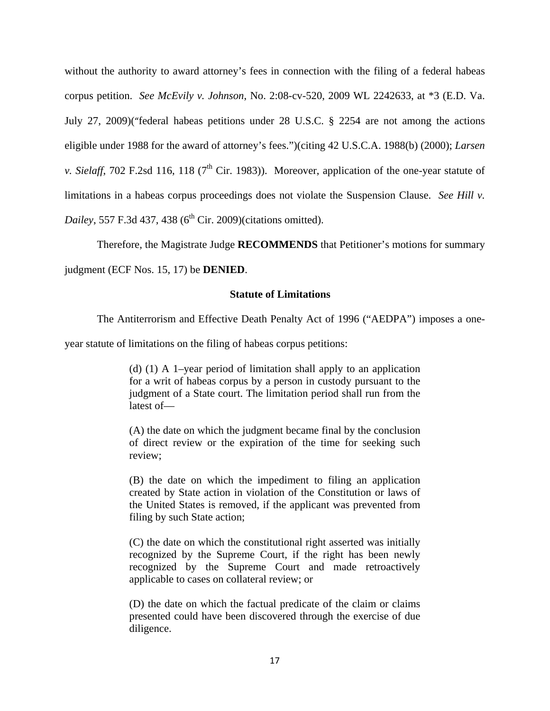without the authority to award attorney's fees in connection with the filing of a federal habeas corpus petition. *See McEvily v. Johnson*, No. 2:08-cv-520, 2009 WL 2242633, at \*3 (E.D. Va. July 27, 2009)("federal habeas petitions under 28 U.S.C. § 2254 are not among the actions eligible under 1988 for the award of attorney's fees.")(citing 42 U.S.C.A. 1988(b) (2000); *Larsen v. Sielaff*, 702 F.2sd 116, 118 ( $7<sup>th</sup>$  Cir. 1983)). Moreover, application of the one-year statute of limitations in a habeas corpus proceedings does not violate the Suspension Clause. *See Hill v. Dailey*, 557 F.3d 437, 438 (6<sup>th</sup> Cir. 2009)(citations omitted).

 Therefore, the Magistrate Judge **RECOMMENDS** that Petitioner's motions for summary judgment (ECF Nos. 15, 17) be **DENIED**.

### **Statute of Limitations**

The Antiterrorism and Effective Death Penalty Act of 1996 ("AEDPA") imposes a one-

year statute of limitations on the filing of habeas corpus petitions:

(d) (1) A 1–year period of limitation shall apply to an application for a writ of habeas corpus by a person in custody pursuant to the judgment of a State court. The limitation period shall run from the latest of—

(A) the date on which the judgment became final by the conclusion of direct review or the expiration of the time for seeking such review;

(B) the date on which the impediment to filing an application created by State action in violation of the Constitution or laws of the United States is removed, if the applicant was prevented from filing by such State action;

(C) the date on which the constitutional right asserted was initially recognized by the Supreme Court, if the right has been newly recognized by the Supreme Court and made retroactively applicable to cases on collateral review; or

(D) the date on which the factual predicate of the claim or claims presented could have been discovered through the exercise of due diligence.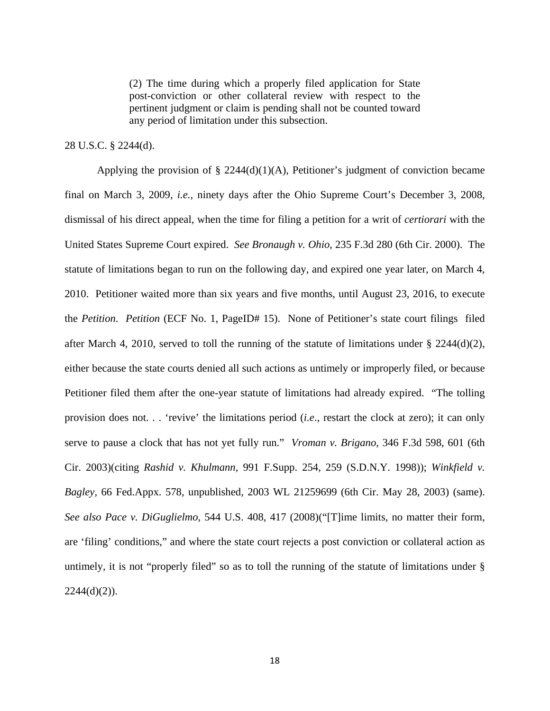(2) The time during which a properly filed application for State post-conviction or other collateral review with respect to the pertinent judgment or claim is pending shall not be counted toward any period of limitation under this subsection.

### 28 U.S.C. § 2244(d).

Applying the provision of  $\S$  2244(d)(1)(A), Petitioner's judgment of conviction became final on March 3, 2009, *i.e.,* ninety days after the Ohio Supreme Court's December 3, 2008, dismissal of his direct appeal, when the time for filing a petition for a writ of *certiorari* with the United States Supreme Court expired. *See Bronaugh v. Ohio*, 235 F.3d 280 (6th Cir. 2000). The statute of limitations began to run on the following day, and expired one year later, on March 4, 2010. Petitioner waited more than six years and five months, until August 23, 2016, to execute the *Petition*. *Petition* (ECF No. 1, PageID# 15). None of Petitioner's state court filings filed after March 4, 2010, served to toll the running of the statute of limitations under  $\S$  2244(d)(2), either because the state courts denied all such actions as untimely or improperly filed, or because Petitioner filed them after the one-year statute of limitations had already expired. "The tolling provision does not. . . 'revive' the limitations period (*i.e*., restart the clock at zero); it can only serve to pause a clock that has not yet fully run." *Vroman v. Brigano*, 346 F.3d 598, 601 (6th Cir. 2003)(citing *Rashid v. Khulmann,* 991 F.Supp. 254, 259 (S.D.N.Y. 1998)); *Winkfield v. Bagley*, 66 Fed.Appx. 578, unpublished, 2003 WL 21259699 (6th Cir. May 28, 2003) (same). *See also Pace v. DiGuglielmo,* 544 U.S. 408, 417 (2008)("[T]ime limits, no matter their form, are 'filing' conditions," and where the state court rejects a post conviction or collateral action as untimely, it is not "properly filed" so as to toll the running of the statute of limitations under §  $2244(d)(2)$ ).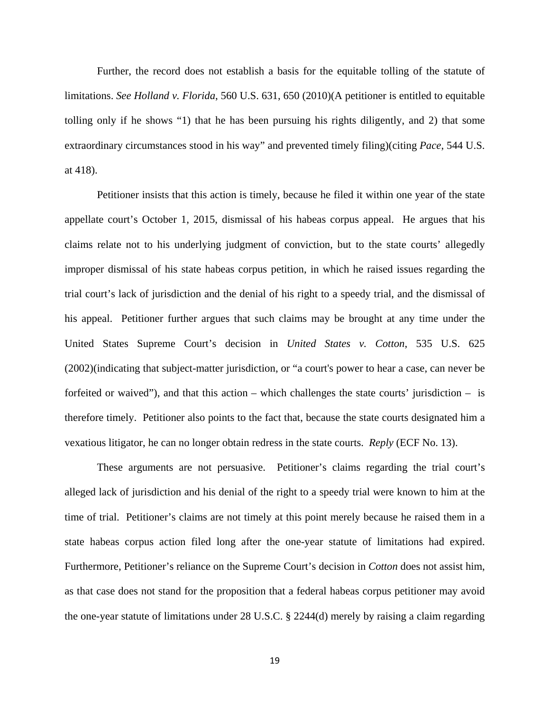Further, the record does not establish a basis for the equitable tolling of the statute of limitations. *See Holland v. Florida*, 560 U.S. 631, 650 (2010)(A petitioner is entitled to equitable tolling only if he shows "1) that he has been pursuing his rights diligently, and 2) that some extraordinary circumstances stood in his way" and prevented timely filing)(citing *Pace*, 544 U.S. at 418).

Petitioner insists that this action is timely, because he filed it within one year of the state appellate court's October 1, 2015, dismissal of his habeas corpus appeal. He argues that his claims relate not to his underlying judgment of conviction, but to the state courts' allegedly improper dismissal of his state habeas corpus petition, in which he raised issues regarding the trial court's lack of jurisdiction and the denial of his right to a speedy trial, and the dismissal of his appeal. Petitioner further argues that such claims may be brought at any time under the United States Supreme Court's decision in *United States v. Cotton*, 535 U.S. 625 (2002)(indicating that subject-matter jurisdiction, or "a court's power to hear a case, can never be forfeited or waived"), and that this action – which challenges the state courts' jurisdiction – is therefore timely. Petitioner also points to the fact that, because the state courts designated him a vexatious litigator, he can no longer obtain redress in the state courts. *Reply* (ECF No. 13).

These arguments are not persuasive. Petitioner's claims regarding the trial court's alleged lack of jurisdiction and his denial of the right to a speedy trial were known to him at the time of trial. Petitioner's claims are not timely at this point merely because he raised them in a state habeas corpus action filed long after the one-year statute of limitations had expired. Furthermore, Petitioner's reliance on the Supreme Court's decision in *Cotton* does not assist him, as that case does not stand for the proposition that a federal habeas corpus petitioner may avoid the one-year statute of limitations under 28 U.S.C. § 2244(d) merely by raising a claim regarding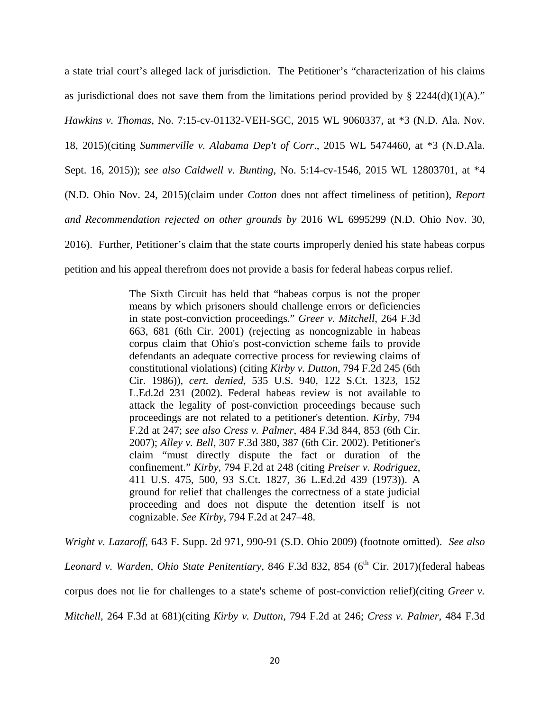a state trial court's alleged lack of jurisdiction. The Petitioner's "characterization of his claims as jurisdictional does not save them from the limitations period provided by  $\S$  2244(d)(1)(A)." *Hawkins v. Thomas*, No. 7:15-cv-01132-VEH-SGC, 2015 WL 9060337, at \*3 (N.D. Ala. Nov. 18, 2015)(citing *Summerville v. Alabama Dep't of Corr*., 2015 WL 5474460, at \*3 (N.D.Ala. Sept. 16, 2015)); *see also Caldwell v. Bunting*, No. 5:14-cv-1546, 2015 WL 12803701, at \*4 (N.D. Ohio Nov. 24, 2015)(claim under *Cotton* does not affect timeliness of petition), *Report and Recommendation rejected on other grounds by* 2016 WL 6995299 (N.D. Ohio Nov. 30, 2016). Further, Petitioner's claim that the state courts improperly denied his state habeas corpus petition and his appeal therefrom does not provide a basis for federal habeas corpus relief.

> The Sixth Circuit has held that "habeas corpus is not the proper means by which prisoners should challenge errors or deficiencies in state post-conviction proceedings." *Greer v. Mitchell*, 264 F.3d 663, 681 (6th Cir. 2001) (rejecting as noncognizable in habeas corpus claim that Ohio's post-conviction scheme fails to provide defendants an adequate corrective process for reviewing claims of constitutional violations) (citing *Kirby v. Dutton*, 794 F.2d 245 (6th Cir. 1986)), *cert. denied*, 535 U.S. 940, 122 S.Ct. 1323, 152 L.Ed.2d 231 (2002). Federal habeas review is not available to attack the legality of post-conviction proceedings because such proceedings are not related to a petitioner's detention. *Kirby,* 794 F.2d at 247; *see also Cress v. Palmer*, 484 F.3d 844, 853 (6th Cir. 2007); *Alley v. Bell*, 307 F.3d 380, 387 (6th Cir. 2002). Petitioner's claim "must directly dispute the fact or duration of the confinement." *Kirby,* 794 F.2d at 248 (citing *Preiser v. Rodriguez*, 411 U.S. 475, 500, 93 S.Ct. 1827, 36 L.Ed.2d 439 (1973)). A ground for relief that challenges the correctness of a state judicial proceeding and does not dispute the detention itself is not cognizable. *See Kirby*, 794 F.2d at 247–48.

*Wright v. Lazaroff*, 643 F. Supp. 2d 971, 990-91 (S.D. Ohio 2009) (footnote omitted). *See also Leonard v. Warden, Ohio State Penitentiary*, 846 F.3d 832, 854 (6<sup>th</sup> Cir. 2017)(federal habeas corpus does not lie for challenges to a state's scheme of post-conviction relief)(citing *Greer v. Mitchell*, 264 F.3d at 681)(citing *Kirby v. Dutton*, 794 F.2d at 246; *Cress v. Palmer*, 484 F.3d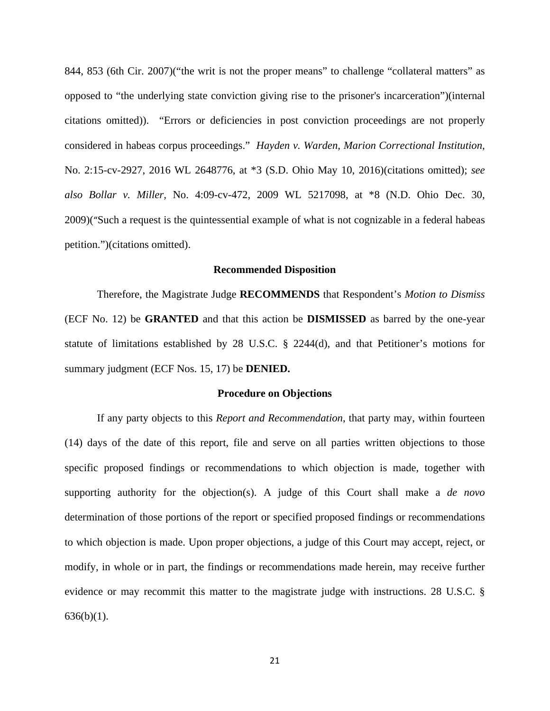844, 853 (6th Cir. 2007)("the writ is not the proper means" to challenge "collateral matters" as opposed to "the underlying state conviction giving rise to the prisoner's incarceration")(internal citations omitted)). "Errors or deficiencies in post conviction proceedings are not properly considered in habeas corpus proceedings." *Hayden v. Warden, Marion Correctional Institution*, No. 2:15-cv-2927, 2016 WL 2648776, at \*3 (S.D. Ohio May 10, 2016)(citations omitted); *see also Bollar v. Miller,* No. 4:09-cv-472, 2009 WL 5217098, at \*8 (N.D. Ohio Dec. 30, 2009)("Such a request is the quintessential example of what is not cognizable in a federal habeas petition.")(citations omitted).

#### **Recommended Disposition**

 Therefore, the Magistrate Judge **RECOMMENDS** that Respondent's *Motion to Dismiss* (ECF No. 12) be **GRANTED** and that this action be **DISMISSED** as barred by the one-year statute of limitations established by 28 U.S.C. § 2244(d), and that Petitioner's motions for summary judgment (ECF Nos. 15, 17) be **DENIED.**

#### **Procedure on Objections**

If any party objects to this *Report and Recommendation*, that party may, within fourteen (14) days of the date of this report, file and serve on all parties written objections to those specific proposed findings or recommendations to which objection is made, together with supporting authority for the objection(s). A judge of this Court shall make a *de novo* determination of those portions of the report or specified proposed findings or recommendations to which objection is made. Upon proper objections, a judge of this Court may accept, reject, or modify, in whole or in part, the findings or recommendations made herein, may receive further evidence or may recommit this matter to the magistrate judge with instructions. 28 U.S.C. §  $636(b)(1)$ .